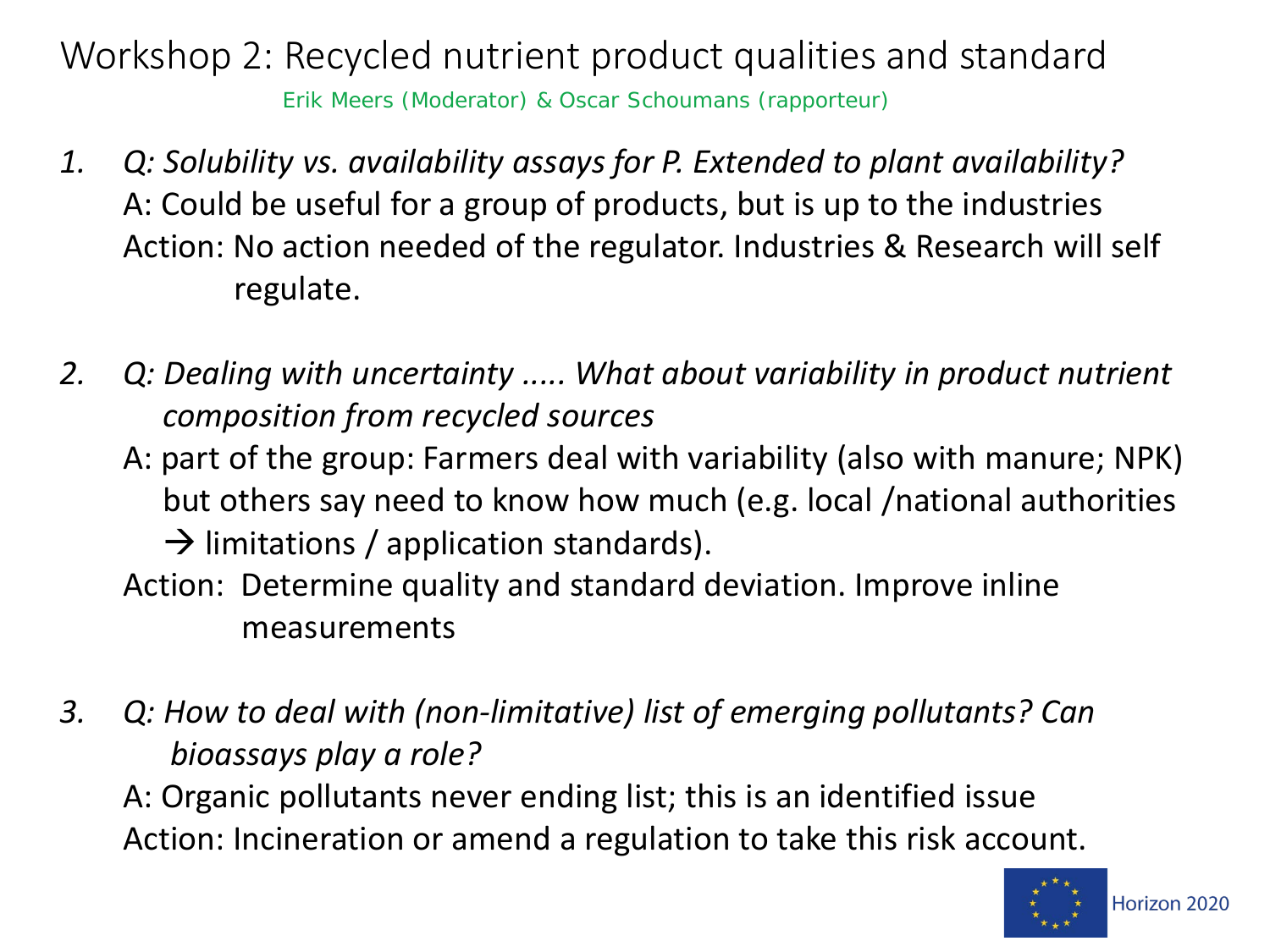Workshop 2: Recycled nutrient product qualities and standard Erik Meers (Moderator) & Oscar Schoumans (rapporteur)

- *1. Q: Solubility vs. availability assays for P. Extended to plant availability?* A: Could be useful for a group of products, but is up to the industries Action: No action needed of the regulator. Industries & Research will self regulate.
- *2. Q: Dealing with uncertainty ..... What about variability in product nutrient composition from recycled sources*
	- A: part of the group: Farmers deal with variability (also with manure; NPK) but others say need to know how much (e.g. local /national authorities  $\rightarrow$  limitations / application standards).
	- Action: Determine quality and standard deviation. Improve inline measurements
- *3. Q: How to deal with (non-limitative) list of emerging pollutants? Can bioassays play a role?*

A: Organic pollutants never ending list; this is an identified issue Action: Incineration or amend a regulation to take this risk account.

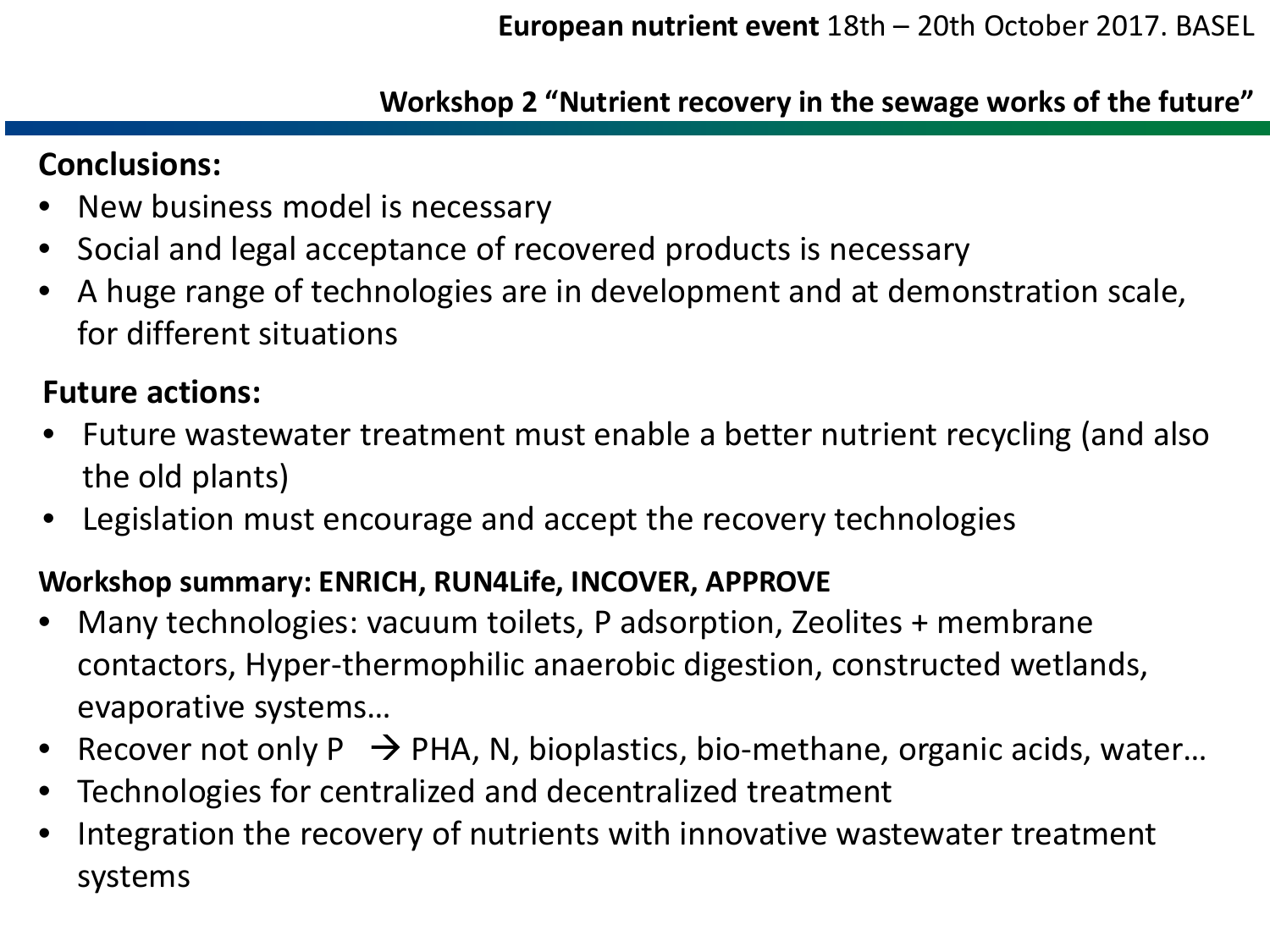### **Workshop 2 "Nutrient recovery in the sewage works of the future"**

## **Conclusions:**

- New business model is necessary
- Social and legal acceptance of recovered products is necessary
- A huge range of technologies are in development and at demonstration scale, for different situations

## **Future actions:**

- Future wastewater treatment must enable a better nutrient recycling (and also the old plants)
- Legislation must encourage and accept the recovery technologies

### **Workshop summary: ENRICH, RUN4Life, INCOVER, APPROVE**

- Many technologies: vacuum toilets, P adsorption, Zeolites + membrane contactors, Hyper-thermophilic anaerobic digestion, constructed wetlands, evaporative systems…
- Recover not only P  $\rightarrow$  PHA, N, bioplastics, bio-methane, organic acids, water...
- Technologies for centralized and decentralized treatment
- Integration the recovery of nutrients with innovative wastewater treatment systems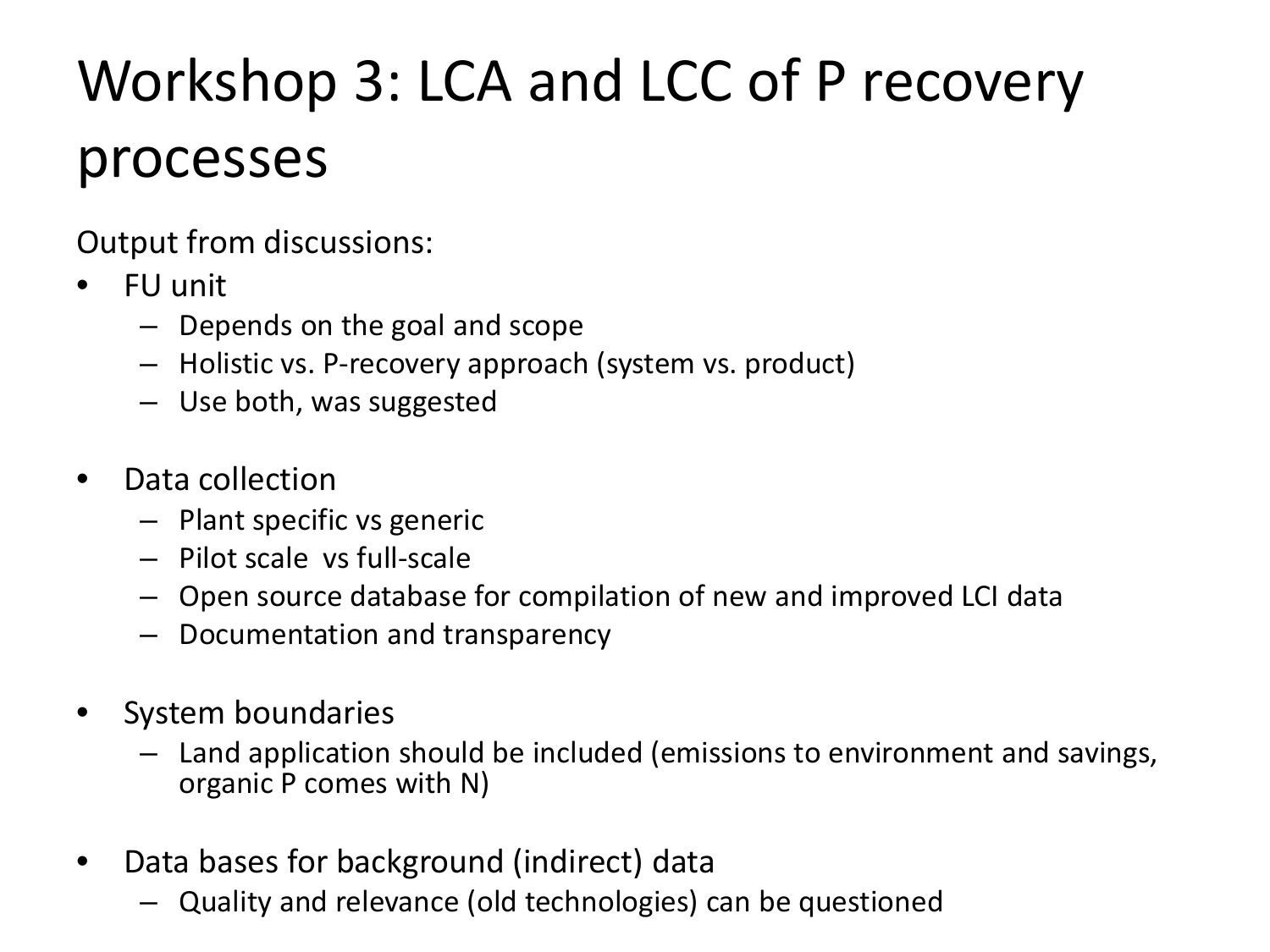# Workshop 3: LCA and LCC of P recovery processes

Output from discussions:

- FU unit
	- Depends on the goal and scope
	- Holistic vs. P-recovery approach (system vs. product)
	- Use both, was suggested
- Data collection
	- Plant specific vs generic
	- Pilot scale vs full-scale
	- Open source database for compilation of new and improved LCI data
	- Documentation and transparency
- System boundaries
	- Land application should be included (emissions to environment and savings, organic P comes with N)
- Data bases for background (indirect) data
	- Quality and relevance (old technologies) can be questioned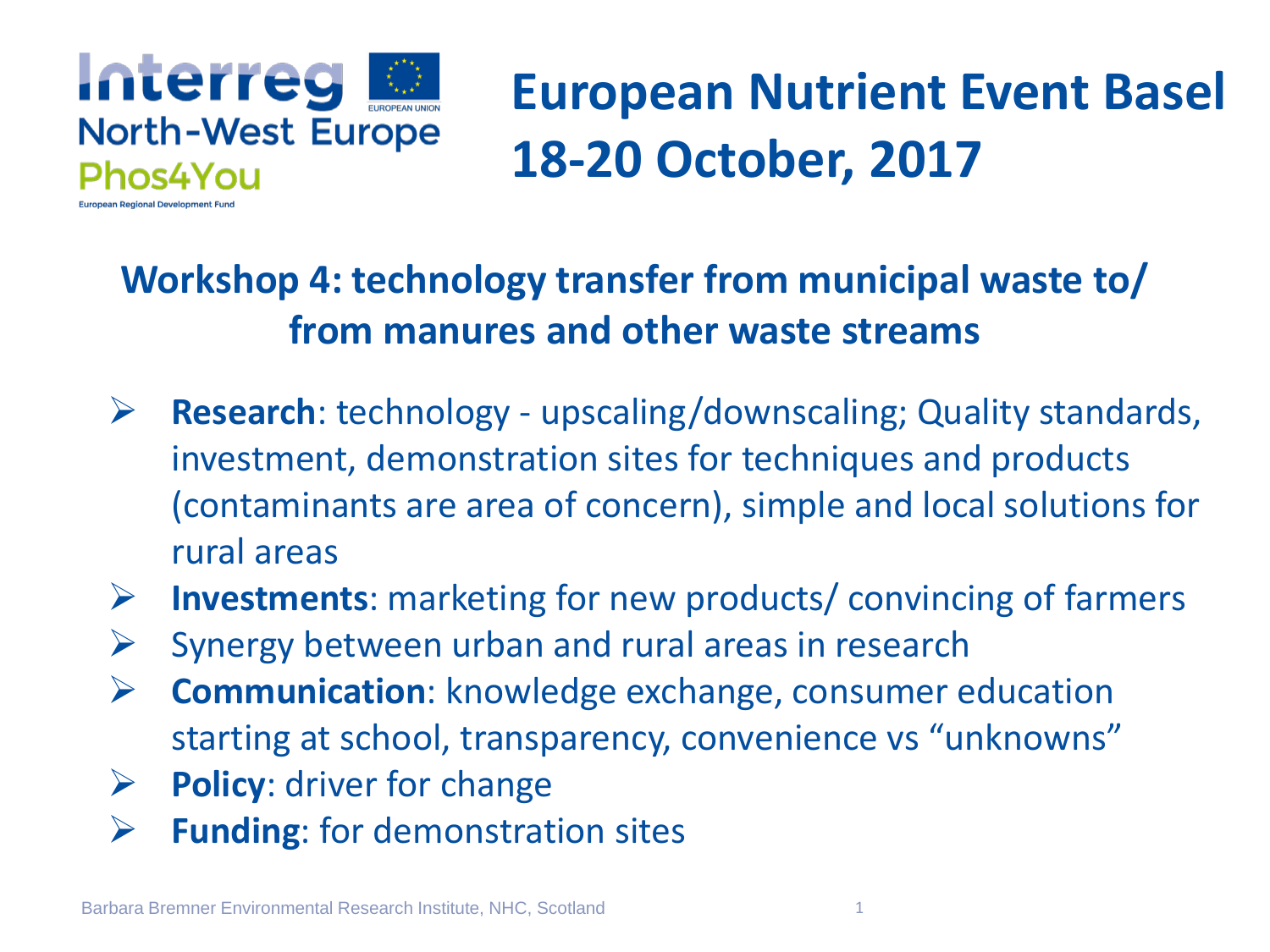

# **European Nutrient Event Basel 18-20 October, 2017**

# **Workshop 4: technology transfer from municipal waste to/ from manures and other waste streams**

- **Research**: technology upscaling/downscaling; Quality standards, investment, demonstration sites for techniques and products (contaminants are area of concern), simple and local solutions for rural areas
- **Investments**: marketing for new products/ convincing of farmers
- $\triangleright$  Synergy between urban and rural areas in research
- **Communication**: knowledge exchange, consumer education starting at school, transparency, convenience vs "unknowns"
- **Policy**: driver for change
- **Funding**: for demonstration sites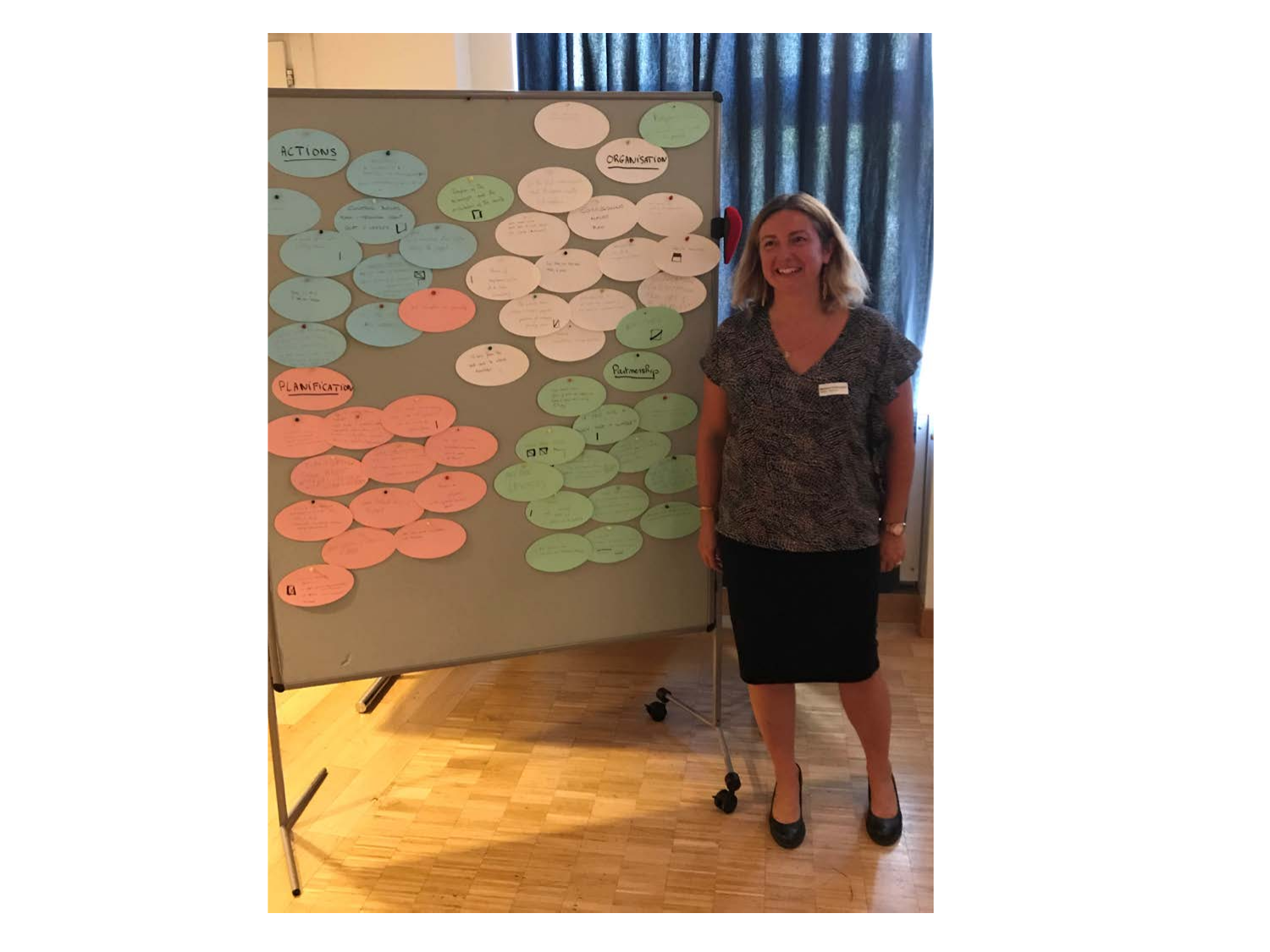